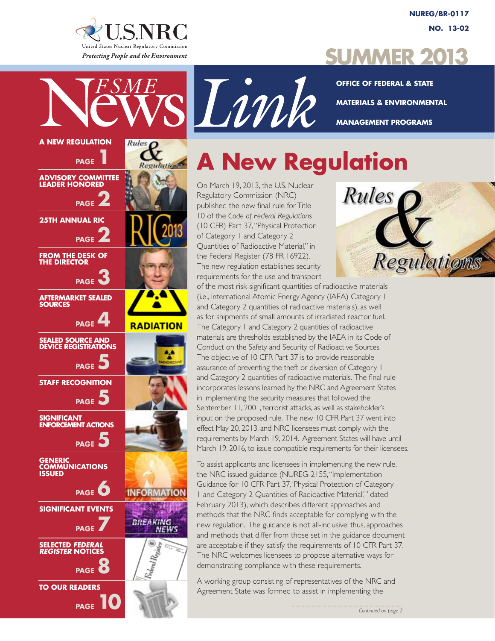

**NUREG/BR-0117 No. 13-02**

## **Summer 2013**

**Office of Federal & State Materials & Environmental Management Programs**

# **A New Regulation**

On March 19, 2013, the U.S. Nuclear Regulatory Commission (NRC) published the new final rule for Title 10 of the *Code of Federal Regulations* (10 CFR) Part 37, "Physical Protection of Category 1 and Category 2 Quantities of Radioactive Material," in the Federal Register (78 FR 16922). The new regulation establishes security requirements for the use and transport



of the most risk-significant quantities of radioactive materials (i.e., International Atomic Energy Agency (IAEA) Category 1 and Category 2 quantities of radioactive materials), as well as for shipments of small amounts of irradiated reactor fuel. The Category 1 and Category 2 quantities of radioactive materials are thresholds established by the IAEA in its Code of Conduct on the Safety and Security of Radioactive Sources. The objective of 10 CFR Part 37 is to provide reasonable assurance of preventing the theft or diversion of Category 1 and Category 2 quantities of radioactive materials. The final rule incorporates lessons learned by the NRC and Agreement States in implementing the security measures that followed the September 11, 2001, terrorist attacks, as well as stakeholder's input on the proposed rule. The new 10 CFR Part 37 went into effect May 20, 2013, and NRC licensees must comply with the requirements by March 19, 2014. Agreement States will have until March 19, 2016, to issue compatible requirements for their licensees.

To assist applicants and licensees in implementing the new rule, the NRC issued guidance (NUREG-2155, "Implementation Guidance for 10 CFR Part 37, 'Physical Protection of Category 1 and Category 2 Quantities of Radioactive Material,'" dated February 2013), which describes different approaches and methods that the NRC finds acceptable for complying with the new regulation. The guidance is not all-inclusive; thus, approaches and methods that differ from those set in the guidance document are acceptable if they satisfy the requirements of 10 CFR Part 37. The NRC welcomes licensees to propose alternative ways for demonstrating compliance with these requirements.

A working group consisting of representatives of the NRC and Agreement State was formed to assist in implementing the

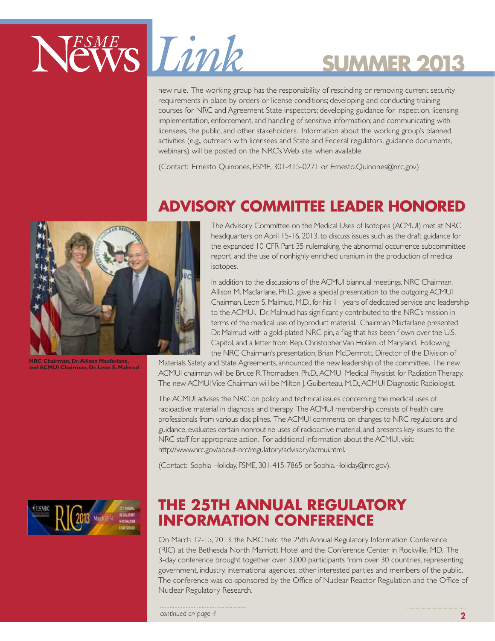

new rule. The working group has the responsibility of rescinding or removing current security requirements in place by orders or license conditions; developing and conducting training courses for NRC and Agreement State inspectors; developing guidance for inspection, licensing, implementation, enforcement, and handling of sensitive information; and communicating with licensees, the public, and other stakeholders. Information about the working group's planned activities (e.g., outreach with licensees and State and Federal regulators, guidance documents, webinars) will be posted on the NRC's Web site, when available.

(Contact: Ernesto Quinones, FSME, 301-415-0271 or Ernesto.Quinones@nrc.gov)

## **ADVISORY COMMITTEE LEADER HONORED**



The Advisory Committee on the Medical Uses of Isotopes (ACMUI) met at NRC headquarters on April 15-16, 2013, to discuss issues such as the draft guidance for the expanded 10 CFR Part 35 rulemaking, the abnormal occurrence subcommittee report, and the use of nonhighly enriched uranium in the production of medical isotopes.

In addition to the discussions of the ACMUI biannual meetings, NRC Chairman, Allison M. Macfarlane, Ph.D., gave a special presentation to the outgoing ACMUI Chairman, Leon S. Malmud, M.D., for his 11 years of dedicated service and leadership to the ACMUI. Dr. Malmud has significantly contributed to the NRC's mission in terms of the medical use of byproduct material. Chairman Macfarlane presented Dr. Malmud with a gold-plated NRC pin, a flag that has been flown over the U.S. Capitol, and a letter from Rep. Christopher Van Hollen, of Maryland. Following the NRC Chairman's presentation, Brian McDermott, Director of the Division of

Materials Safety and State Agreements, announced the new leadership of the committee. The new ACMUI chairman will be Bruce R. Thomadsen, Ph.D., ACMUI Medical Physicist for Radiation Therapy. The new ACMUI Vice Chairman will be Milton J. Guiberteau, M.D., ACMUI Diagnostic Radiologist.

The ACMUI advises the NRC on policy and technical issues concerning the medical uses of radioactive material in diagnosis and therapy. The ACMUI membership consists of health care professionals from various disciplines. The ACMUI comments on changes to NRC regulations and guidance, evaluates certain nonroutine uses of radioactive material, and presents key issues to the NRC staff for appropriate action. For additional information about the ACMUI, visit: http://www.nrc.gov/about-nrc/regulatory/advisory/acmui.html.

(Contact: Sophia Holiday, FSME, 301-415-7865 or Sophia.Holiday@nrc.gov).



### **THE 25TH ANNUAL REGULATORY INFORMATION CONFERENCE**

On March 12-15, 2013, the NRC held the 25th Annual Regulatory Information Conference (RIC) at the Bethesda North Marriott Hotel and the Conference Center in Rockville, MD. The 3-day conference brought together over 3,000 participants from over 30 countries, representing government, industry, international agencies, other interested parties and members of the public. The conference was co-sponsored by the Office of Nuclear Reactor Regulation and the Office of Nuclear Regulatory Research.

*continued on page 4*

#### **NRC Chairman, Dr. Allison Macfarlane, and ACMUI Chairman, Dr. Leon S. Malmud**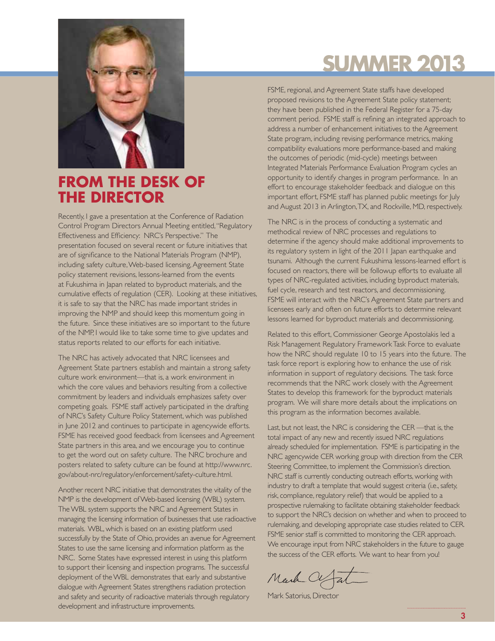

### **FROM THE DESK OF THE DIRECTOR**

Recently, I gave a presentation at the Conference of Radiation Control Program Directors Annual Meeting entitled, "Regulatory Effectiveness and Efficiency: NRC's Perspective." The presentation focused on several recent or future initiatives that are of significance to the National Materials Program (NMP), including safety culture, Web-based licensing, Agreement State policy statement revisions, lessons-learned from the events at Fukushima in Japan related to byproduct materials, and the cumulative effects of regulation (CER). Looking at these initiatives, it is safe to say that the NRC has made important strides in improving the NMP and should keep this momentum going in the future. Since these initiatives are so important to the future of the NMP, I would like to take some time to give updates and status reports related to our efforts for each initiative.

The NRC has actively advocated that NRC licensees and Agreement State partners establish and maintain a strong safety culture work environment—that is, a work environment in which the core values and behaviors resulting from a collective commitment by leaders and individuals emphasizes safety over competing goals. FSME staff actively participated in the drafting of NRC's Safety Culture Policy Statement, which was published in June 2012 and continues to participate in agencywide efforts. FSME has received good feedback from licensees and Agreement State partners in this area, and we encourage you to continue to get the word out on safety culture. The NRC brochure and posters related to safety culture can be found at http://www.nrc. gov/about-nrc/regulatory/enforcement/safety-culture.html.

Another recent NRC initiative that demonstrates the vitality of the NMP is the development of Web-based licensing (WBL) system. The WBL system supports the NRC and Agreement States in managing the licensing information of businesses that use radioactive materials. WBL, which is based on an existing platform used successfully by the State of Ohio, provides an avenue for Agreement States to use the same licensing and information platform as the NRC. Some States have expressed interest in using this platform to support their licensing and inspection programs. The successful deployment of the WBL demonstrates that early and substantive dialogue with Agreement States strengthens radiation protection and safety and security of radioactive materials through regulatory development and infrastructure improvements.

# **Summer 2013**

FSME, regional, and Agreement State staffs have developed proposed revisions to the Agreement State policy statement; they have been published in the Federal Register for a 75-day comment period. FSME staff is refining an integrated approach to address a number of enhancement initiatives to the Agreement State program, including revising performance metrics, making compatibility evaluations more performance-based and making the outcomes of periodic (mid-cycle) meetings between Integrated Materials Performance Evaluation Program cycles an opportunity to identify changes in program performance. In an effort to encourage stakeholder feedback and dialogue on this important effort, FSME staff has planned public meetings for July and August 2013 in Arlington, TX, and Rockville, MD, respectively.

The NRC is in the process of conducting a systematic and methodical review of NRC processes and regulations to determine if the agency should make additional improvements to its regulatory system in light of the 2011 Japan earthquake and tsunami. Although the current Fukushima lessons-learned effort is focused on reactors, there will be followup efforts to evaluate all types of NRC-regulated activities, including byproduct materials, fuel cycle, research and test reactors, and decommissioning. FSME will interact with the NRC's Agreement State partners and licensees early and often on future efforts to determine relevant lessons learned for byproduct materials and decommissioning.

Related to this effort, Commissioner George Apostolakis led a Risk Management Regulatory Framework Task Force to evaluate how the NRC should regulate 10 to 15 years into the future. The task force report is exploring how to enhance the use of risk information in support of regulatory decisions. The task force recommends that the NRC work closely with the Agreement States to develop this framework for the byproduct materials program. We will share more details about the implications on this program as the information becomes available.

Last, but not least, the NRC is considering the CER —that is, the total impact of any new and recently issued NRC regulations already scheduled for implementation. FSME is participating in the NRC agencywide CER working group with direction from the CER Steering Committee, to implement the Commission's direction. NRC staff is currently conducting outreach efforts, working with industry to draft a template that would suggest criteria (i.e., safety, risk, compliance, regulatory relief) that would be applied to a prospective rulemaking to facilitate obtaining stakeholder feedback to support the NRC's decision on whether and when to proceed to rulemaking, and developing appropriate case studies related to CER. FSME senior staff is committed to monitoring the CER approach. We encourage input from NRC stakeholders in the future to gauge the success of the CER efforts. We want to hear from you!

Mark Ce

Mark Satorius, Director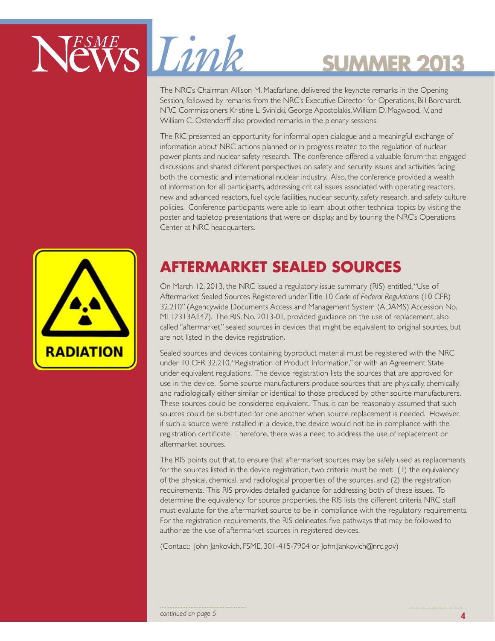

The NRC's Chairman, Allison M. Macfarlane, delivered the keynote remarks in the Opening Session, followed by remarks from the NRC's Executive Director for Operations, Bill Borchardt. NRC Commissioners Kristine L. Svinicki, George Apostolakis, William D. Magwood, IV, and William C. Ostendorff also provided remarks in the plenary sessions.

The RIC presented an opportunity for informal open dialogue and a meaningful exchange of information about NRC actions planned or in progress related to the regulation of nuclear power plants and nuclear safety research. The conference offered a valuable forum that engaged discussions and shared different perspectives on safety and security issues and activities facing both the domestic and international nuclear industry. Also, the conference provided a wealth of information for all participants, addressing critical issues associated with operating reactors, new and advanced reactors, fuel cycle facilities, nuclear security, safety research, and safety culture policies. Conference participants were able to learn about other technical topics by visiting the poster and tabletop presentations that were on display, and by touring the NRC's Operations Center at NRC headquarters.



## **AFTERMARKET SEALED SOURCES**

On March 12, 2013, the NRC issued a regulatory issue summary (RIS) entitled, "Use of Aftermarket Sealed Sources Registered under Title 10 *Code of Federal Regulations* (10 CFR) 32.210" (Agencywide Documents Access and Management System (ADAMS) Accession No. ML12313A147). The RIS, No. 2013-01, provided guidance on the use of replacement, also called "aftermarket," sealed sources in devices that might be equivalent to original sources, but are not listed in the device registration.

Sealed sources and devices containing byproduct material must be registered with the NRC under 10 CFR 32.210, "Registration of Product Information," or with an Agreement State under equivalent regulations. The device registration lists the sources that are approved for use in the device. Some source manufacturers produce sources that are physically, chemically, and radiologically either similar or identical to those produced by other source manufacturers. These sources could be considered equivalent. Thus, it can be reasonably assumed that such sources could be substituted for one another when source replacement is needed. However, if such a source were installed in a device, the device would not be in compliance with the registration certificate. Therefore, there was a need to address the use of replacement or aftermarket sources.

The RIS points out that, to ensure that aftermarket sources may be safely used as replacements for the sources listed in the device registration, two criteria must be met: (1) the equivalency of the physical, chemical, and radiological properties of the sources, and (2) the registration requirements. This RIS provides detailed guidance for addressing both of these issues. To determine the equivalency for source properties, the RIS lists the different criteria NRC staff must evaluate for the aftermarket source to be in compliance with the regulatory requirements. For the registration requirements, the RIS delineates five pathways that may be followed to authorize the use of aftermarket sources in registered devices.

(Contact: John Jankovich, FSME, 301-415-7904 or John.Jankovich@nrc.gov)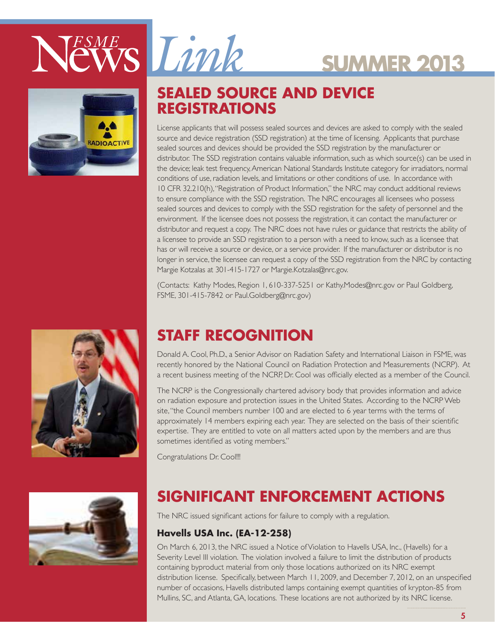



### **SEALED SOURCE AND DEVICE REGISTRATIONS**

License applicants that will possess sealed sources and devices are asked to comply with the sealed source and device registration (SSD registration) at the time of licensing. Applicants that purchase sealed sources and devices should be provided the SSD registration by the manufacturer or distributor. The SSD registration contains valuable information, such as which source(s) can be used in the device; leak test frequency, American National Standards Institute category for irradiators, normal conditions of use, radiation levels, and limitations or other conditions of use. In accordance with 10 CFR 32.210(h), "Registration of Product Information," the NRC may conduct additional reviews to ensure compliance with the SSD registration. The NRC encourages all licensees who possess sealed sources and devices to comply with the SSD registration for the safety of personnel and the environment. If the licensee does not possess the registration, it can contact the manufacturer or distributor and request a copy. The NRC does not have rules or guidance that restricts the ability of a licensee to provide an SSD registration to a person with a need to know, such as a licensee that has or will receive a source or device, or a service provider. If the manufacturer or distributor is no longer in service, the licensee can request a copy of the SSD registration from the NRC by contacting Margie Kotzalas at 301-415-1727 or Margie.Kotzalas@nrc.gov.

**Summer 2013**

(Contacts: Kathy Modes, Region 1, 610-337-5251 or Kathy.Modes@nrc.gov or Paul Goldberg, FSME, 301-415-7842 or Paul.Goldberg@nrc.gov)





## **STAFF RECOGNITION**

Donald A. Cool, Ph.D., a Senior Advisor on Radiation Safety and International Liaison in FSME, was recently honored by the National Council on Radiation Protection and Measurements (NCRP). At a recent business meeting of the NCRP, Dr. Cool was officially elected as a member of the Council.

The NCRP is the Congressionally chartered advisory body that provides information and advice on radiation exposure and protection issues in the United States. According to the NCRP Web site, "the Council members number 100 and are elected to 6 year terms with the terms of approximately 14 members expiring each year. They are selected on the basis of their scientific expertise. They are entitled to vote on all matters acted upon by the members and are thus sometimes identified as voting members."

Congratulations Dr. Cool!!!

## **SIGNIFICANT ENFORCEMENT ACTIONS**

The NRC issued significant actions for failure to comply with a regulation.

### **Havells USA Inc. (EA-12-258)**

On March 6, 2013, the NRC issued a Notice of Violation to Havells USA, Inc., (Havells) for a Severity Level III violation. The violation involved a failure to limit the distribution of products containing byproduct material from only those locations authorized on its NRC exempt distribution license. Specifically, between March 11, 2009, and December 7, 2012, on an unspecified number of occasions, Havells distributed lamps containing exempt quantities of krypton-85 from Mullins, SC, and Atlanta, GA, locations. These locations are not authorized by its NRC license.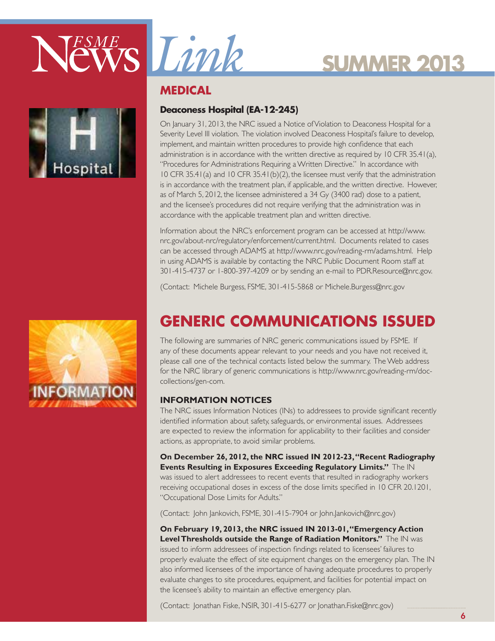



### **Medical**

### **Deaconess Hospital (EA-12-245)**

On January 31, 2013, the NRC issued a Notice of Violation to Deaconess Hospital for a Severity Level III violation. The violation involved Deaconess Hospital's failure to develop, implement, and maintain written procedures to provide high confidence that each administration is in accordance with the written directive as required by 10 CFR 35.41(a), "Procedures for Administrations Requiring a Written Directive." In accordance with 10 CFR 35.41(a) and 10 CFR 35.41(b)(2), the licensee must verify that the administration is in accordance with the treatment plan, if applicable, and the written directive. However, as of March 5, 2012, the licensee administered a 34 Gy (3400 rad) dose to a patient, and the licensee's procedures did not require verifying that the administration was in accordance with the applicable treatment plan and written directive.

Information about the NRC's enforcement program can be accessed at http://www. nrc.gov/about-nrc/regulatory/enforcement/current.html. Documents related to cases can be accessed through ADAMS at http://www.nrc.gov/reading-rm/adams.html. Help in using ADAMS is available by contacting the NRC Public Document Room staff at 301-415-4737 or 1-800-397-4209 or by sending an e-mail to PDR.Resource@nrc.gov.

(Contact: Michele Burgess, FSME, 301-415-5868 or Michele.Burgess@nrc.gov

## **GENERIC COMMUNICATIONS ISSUED**

The following are summaries of NRC generic communications issued by FSME. If any of these documents appear relevant to your needs and you have not received it, please call one of the technical contacts listed below the summary. The Web address for the NRC library of generic communications is http://www.nrc.gov/reading-rm/doccollections/gen-com.

### **Information Notices**

The NRC issues Information Notices (INs) to addressees to provide significant recently identified information about safety, safeguards, or environmental issues. Addressees are expected to review the information for applicability to their facilities and consider actions, as appropriate, to avoid similar problems.

**On December 26, 2012, the NRC issued IN 2012-23, "Recent Radiography Events Resulting in Exposures Exceeding Regulatory Limits."** The IN was issued to alert addressees to recent events that resulted in radiography workers receiving occupational doses in excess of the dose limits specified in 10 CFR 20.1201, "Occupational Dose Limits for Adults."

(Contact: John Jankovich, FSME, 301-415-7904 or John.Jankovich@nrc.gov)

**On February 19, 2013, the NRC issued IN 2013-01, "Emergency Action Level Thresholds outside the Range of Radiation Monitors."** The IN was issued to inform addressees of inspection findings related to licensees' failures to properly evaluate the effect of site equipment changes on the emergency plan. The IN also informed licensees of the importance of having adequate procedures to properly evaluate changes to site procedures, equipment, and facilities for potential impact on the licensee's ability to maintain an effective emergency plan.

(Contact: Jonathan Fiske, NSIR, 301-415-6277 or Jonathan.Fiske@nrc.gov)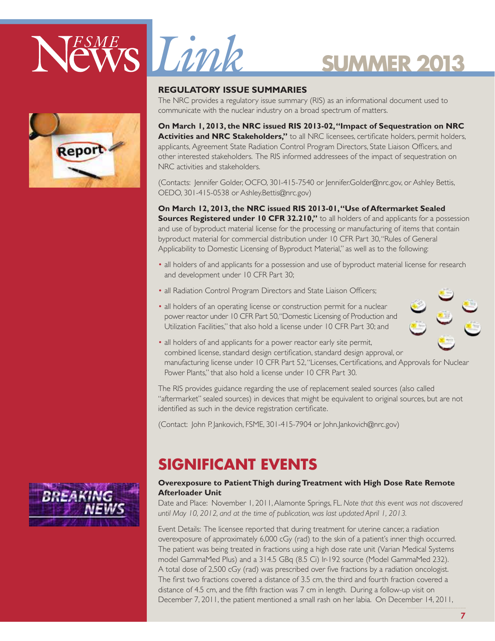



### **Regulatory Issue Summaries**

The NRC provides a regulatory issue summary (RIS) as an informational document used to communicate with the nuclear industry on a broad spectrum of matters.

**On March 1, 2013, the NRC issued RIS 2013-02, "Impact of Sequestration on NRC Activities and NRC Stakeholders,"** to all NRC licensees, certificate holders, permit holders, applicants, Agreement State Radiation Control Program Directors, State Liaison Officers, and other interested stakeholders. The RIS informed addressees of the impact of sequestration on NRC activities and stakeholders.

(Contacts: Jennifer Golder, OCFO, 301-415-7540 or Jennifer.Golder@nrc.gov, or Ashley Bettis, OEDO, 301-415-0538 or Ashley.Bettis@nrc.gov)

**On March 12, 2013, the NRC issued RIS 2013-01, "Use of Aftermarket Sealed Sources Registered under 10 CFR 32.210,"** to all holders of and applicants for a possession and use of byproduct material license for the processing or manufacturing of items that contain byproduct material for commercial distribution under 10 CFR Part 30, "Rules of General Applicability to Domestic Licensing of Byproduct Material," as well as to the following:

- all holders of and applicants for a possession and use of byproduct material license for research and development under 10 CFR Part 30;
- all Radiation Control Program Directors and State Liaison Officers;
- all holders of an operating license or construction permit for a nuclear power reactor under 10 CFR Part 50, "Domestic Licensing of Production and Utilization Facilities," that also hold a license under 10 CFR Part 30; and



• all holders of and applicants for a power reactor early site permit, combined license, standard design certification, standard design approval, or manufacturing license under 10 CFR Part 52, "Licenses, Certifications, and Approvals for Nuclear Power Plants," that also hold a license under 10 CFR Part 30.

The RIS provides guidance regarding the use of replacement sealed sources (also called "aftermarket" sealed sources) in devices that might be equivalent to original sources, but are not identified as such in the device registration certificate.

(Contact: John P. Jankovich, FSME, 301-415-7904 or John.Jankovich@nrc.gov)

### **SIGNIFICANT EVENTS**

### **Overexposure to Patient Thigh during Treatment with High Dose Rate Remote Afterloader Unit**

Date and Place: November 1, 2011, Alamonte Springs, FL. *Note that this event was not discovered until May 10, 2012, and at the time of publication, was last updated April 1, 2013.*

Event Details: The licensee reported that during treatment for uterine cancer, a radiation overexposure of approximately 6,000 cGy (rad) to the skin of a patient's inner thigh occurred. The patient was being treated in fractions using a high dose rate unit (Varian Medical Systems model GammaMed Plus) and a 314.5 GBq (8.5 Ci) Ir-192 source (Model GammaMed 232). A total dose of 2,500 cGy (rad) was prescribed over five fractions by a radiation oncologist. The first two fractions covered a distance of 3.5 cm, the third and fourth fraction covered a distance of 4.5 cm, and the fifth fraction was 7 cm in length. During a follow-up visit on December 7, 2011, the patient mentioned a small rash on her labia. On December 14, 2011,

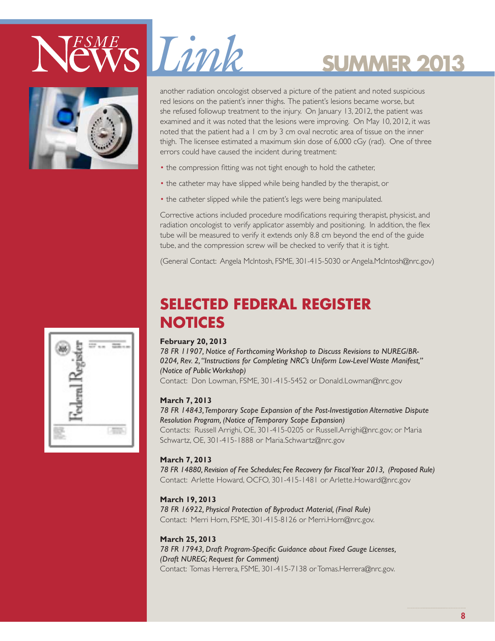



**Summer 2013** another radiation oncologist observed a picture of the patient and noted suspicious red lesions on the patient's inner thighs. The patient's lesions became worse, but she refused followup treatment to the injury. On January 13, 2012, the patient was examined and it was noted that the lesions were improving. On May 10, 2012, it was noted that the patient had a 1 cm by 3 cm oval necrotic area of tissue on the inner thigh. The licensee estimated a maximum skin dose of 6,000 cGy (rad). One of three errors could have caused the incident during treatment:

- the compression fitting was not tight enough to hold the catheter,
- the catheter may have slipped while being handled by the therapist, or
- the catheter slipped while the patient's legs were being manipulated.

Corrective actions included procedure modifications requiring therapist, physicist, and radiation oncologist to verify applicator assembly and positioning. In addition, the flex tube will be measured to verify it extends only 8.8 cm beyond the end of the guide tube, and the compression screw will be checked to verify that it is tight.

(General Contact: Angela McIntosh, FSME, 301-415-5030 or Angela.McIntosh@nrc.gov)

### **Selected Federal Register Notices**

### **February 20, 2013**

*78 FR 11907, Notice of Forthcoming Workshop to Discuss Revisions to NUREG/BR-0204, Rev. 2, ''Instructions for Completing NRC's Uniform Low-Level Waste Manifest,'' (Notice of Public Workshop)*

Contact: Don Lowman, FSME, 301-415-5452 or Donald.Lowman@nrc.gov

### **March 7, 2013**

*78 FR 14843, Temporary Scope Expansion of the Post-Investigation Alternative Dispute Resolution Program, (Notice of Temporary Scope Expansion)*

Contacts: Russell Arrighi, OE, 301-415-0205 or Russell.Arrighi@nrc.gov; or Maria Schwartz, OE, 301-415-1888 or Maria.Schwartz@nrc.gov

### **March 7, 2013**

*78 FR 14880, Revision of Fee Schedules; Fee Recovery for Fiscal Year 2013, (Proposed Rule)* Contact: Arlette Howard, OCFO, 301-415-1481 or Arlette.Howard@nrc.gov

### **March 19, 2013**

*78 FR 16922, Physical Protection of Byproduct Material, (Final Rule)* Contact: Merri Horn, FSME, 301-415-8126 or Merri.Horn@nrc.gov.

### **March 25, 2013**

*78 FR 17943, Draft Program-Specific Guidance about Fixed Gauge Licenses, (Draft NUREG; Request for Comment)*

Contact: Tomas Herrera, FSME, 301-415-7138 or Tomas.Herrera@nrc.gov.

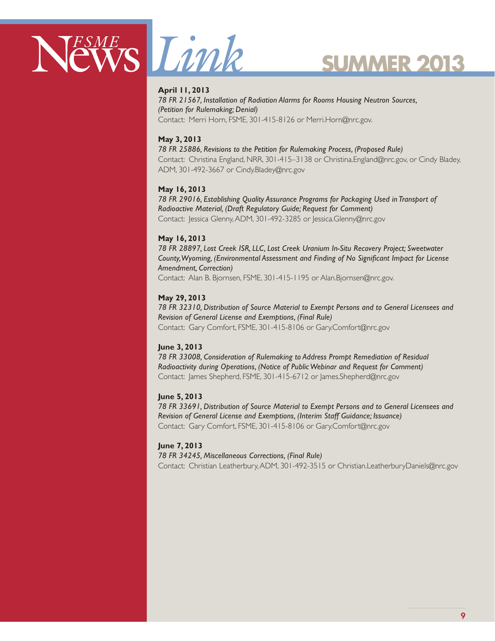



### **April 11, 2013**

*78 FR 21567, Installation of Radiation Alarms for Rooms Housing Neutron Sources, (Petition for Rulemaking; Denial)* Contact: Merri Horn, FSME, 301-415-8126 or Merri.Horn@nrc.gov.

#### **May 3, 2013**

*78 FR 25886, Revisions to the Petition for Rulemaking Process, (Proposed Rule)* Contact: Christina England, NRR, 301-415–3138 or Christina.England@nrc.gov, or Cindy Bladey,

ADM, 301-492-3667 or Cindy.Bladey@nrc.gov

#### **May 16, 2013**

*78 FR 29016, Establishing Quality Assurance Programs for Packaging Used in Transport of Radioactive Material, (Draft Regulatory Guide; Request for Comment)* Contact: Jessica Glenny, ADM, 301-492-3285 or Jessica.Glenny@nrc.gov

#### **May 16, 2013**

*78 FR 28897, Lost Creek ISR, LLC, Lost Creek Uranium In-Situ Recovery Project; Sweetwater County, Wyoming, (Environmental Assessment and Finding of No Significant Impact for License Amendment, Correction)* Contact: Alan B. Bjornsen, FSME, 301-415-1195 or Alan.Bjornsen@nrc.gov.

#### **May 29, 2013**

*78 FR 32310, Distribution of Source Material to Exempt Persons and to General Licensees and Revision of General License and Exemptions, (Final Rule)* Contact: Gary Comfort, FSME, 301-415-8106 or Gary.Comfort@nrc.gov

### **June 3, 2013**

*78 FR 33008, Consideration of Rulemaking to Address Prompt Remediation of Residual Radioactivity during Operations, (Notice of Public Webinar and Request for Comment)* Contact: James Shepherd, FSME, 301-415-6712 or James.Shepherd@nrc.gov

#### **June 5, 2013**

*78 FR 33691, Distribution of Source Material to Exempt Persons and to General Licensees and Revision of General License and Exemptions, (Interim Staff Guidance; Issuance)* Contact: Gary Comfort, FSME, 301-415-8106 or Gary.Comfort@nrc.gov

#### **June 7, 2013**

*78 FR 34245, Miscellaneous Corrections, (Final Rule)*

Contact: Christian Leatherbury, ADM, 301-492-3515 or Christian.LeatherburyDaniels@nrc.gov